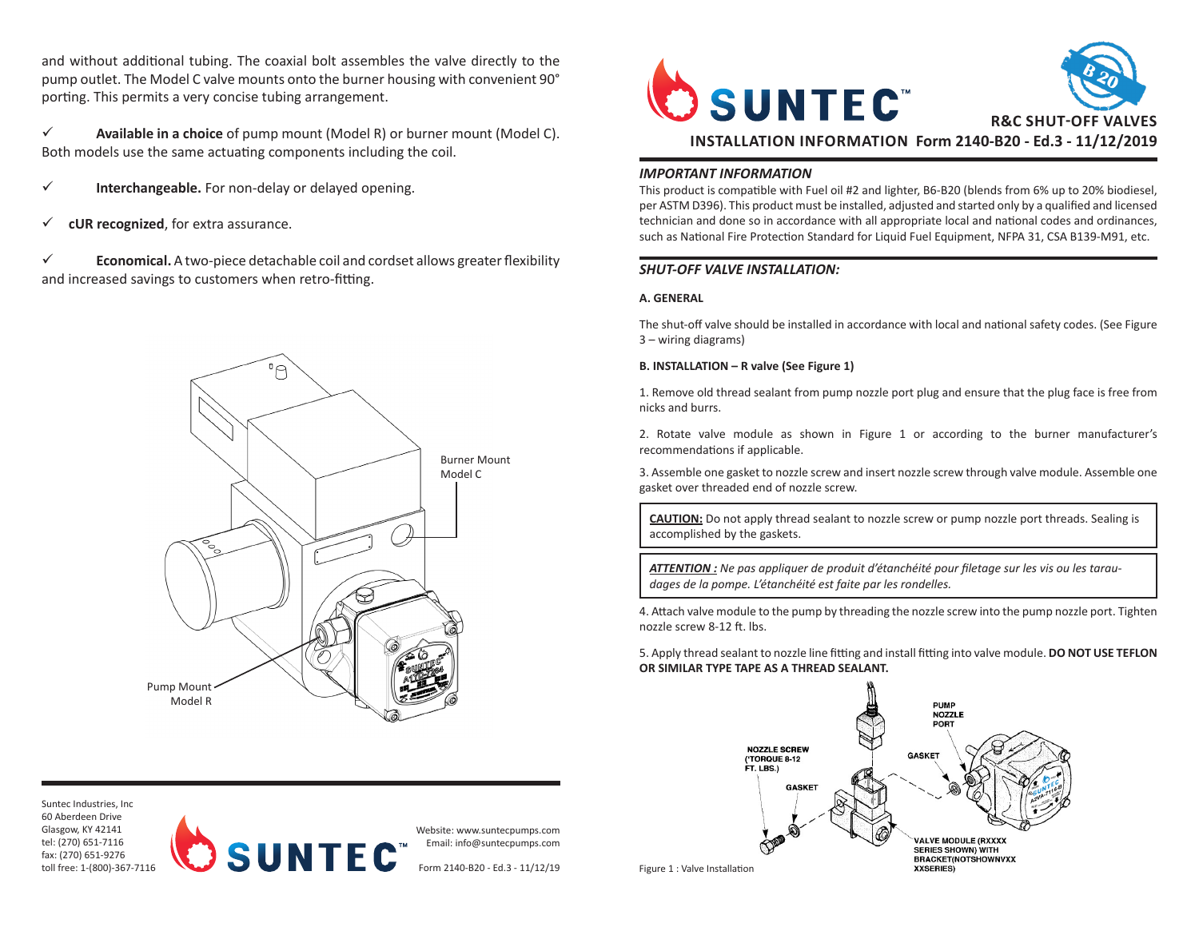and without additional tubing. The coaxial bolt assembles the valve directly to the pump outlet. The Model C valve mounts onto the burner housing with convenient 90° porting. This permits a very concise tubing arrangement.

 $\checkmark$  **Available in a choice** of pump mount (Model R) or burner mount (Model C). Both models use the same actuating components including the coil.

- $\checkmark$  **Interchangeable.** For non-delay or delayed opening.
- $\checkmark$  **cUR recognized**, for extra assurance.

 $\checkmark$  **Economical.** A two-piece detachable coil and cordset allows greater flexibility and increased savings to customers when retro-fitting.







Website: www.suntecpumps.com Email: info@suntecpumps.com

Form 2140-B20 - Ed.3 - 11/12/19 Figure 1 : Valve Installation



# *IMPORTANT INFORMATION*

This product is compatible with Fuel oil #2 and lighter, B6-B20 (blends from 6% up to 20% biodiesel, per ASTM D396). This product must be installed, adjusted and started only by a qualified and licensed technician and done so in accordance with all appropriate local and national codes and ordinances, such as National Fire Protection Standard for Liquid Fuel Equipment, NFPA 31, CSA B139-M91, etc.

# *SHUT-OFF VALVE INSTALLATION:*

## **A. GENERAL**

The shut-off valve should be installed in accordance with local and national safety codes. (See Figure 3 – wiring diagrams)

### **B. INSTALLATION – R valve (See Figure 1)**

1. Remove old thread sealant from pump nozzle port plug and ensure that the plug face is free from nicks and burrs.

2. Rotate valve module as shown in Figure 1 or according to the burner manufacturer's recommendations if applicable.

3. Assemble one gasket to nozzle screw and insert nozzle screw through valve module. Assemble one gasket over threaded end of nozzle screw.

**CAUTION:** Do not apply thread sealant to nozzle screw or pump nozzle port threads. Sealing is accomplished by the gaskets.

*ATTENTION : Ne pas appliquer de produit d'étanchéité pour filetage sur les vis ou les taraudages de la pompe. L'étanchéité est faite par les rondelles.*

4. Attach valve module to the pump by threading the nozzle screw into the pump nozzle port. Tighten nozzle screw 8-12 ft. lbs.

5. Apply thread sealant to nozzle line fitting and install fitting into valve module. **DO NOT USE TEFLON OR SIMILAR TYPE TAPE AS A THREAD SEALANT.**